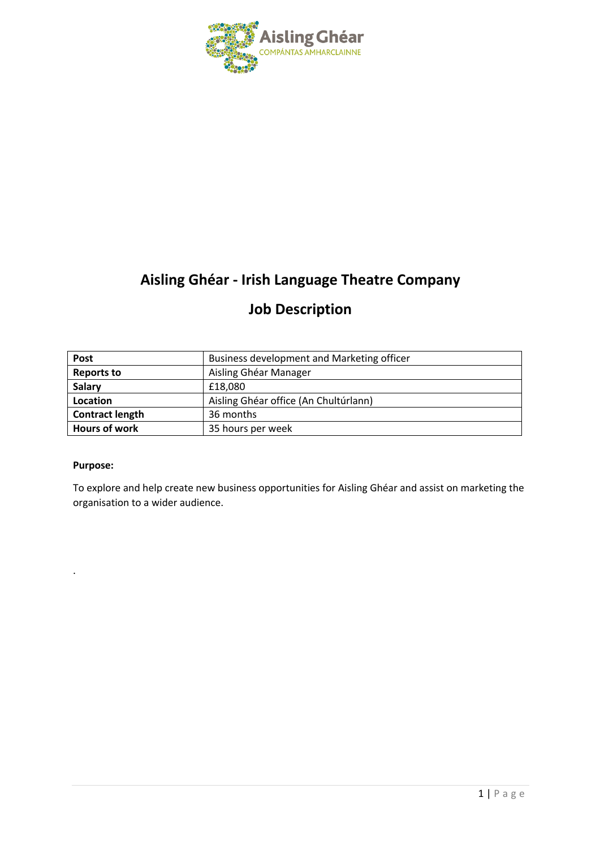

# **Aisling Ghéar - Irish Language Theatre Company**

# **Job Description**

| <b>Post</b>            | Business development and Marketing officer |
|------------------------|--------------------------------------------|
| <b>Reports to</b>      | Aisling Ghéar Manager                      |
| <b>Salary</b>          | £18,080                                    |
| Location               | Aisling Ghéar office (An Chultúrlann)      |
| <b>Contract length</b> | 36 months                                  |
| Hours of work          | 35 hours per week                          |

#### **Purpose:**

.

To explore and help create new business opportunities for Aisling Ghéar and assist on marketing the organisation to a wider audience.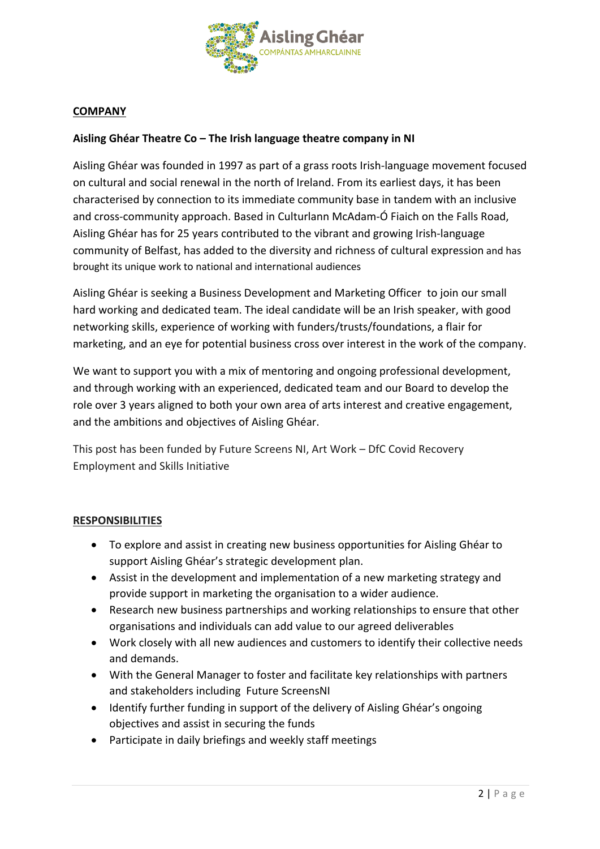

### **COMPANY**

### **Aisling Ghéar Theatre Co – The Irish language theatre company in NI**

Aisling Ghéar was founded in 1997 as part of a grass roots Irish-language movement focused on cultural and social renewal in the north of Ireland. From its earliest days, it has been characterised by connection to its immediate community base in tandem with an inclusive and cross-community approach. Based in Culturlann McAdam-Ó Fiaich on the Falls Road, Aisling Ghéar has for 25 years contributed to the vibrant and growing Irish-language community of Belfast, has added to the diversity and richness of cultural expression and has brought its unique work to national and international audiences

Aisling Ghéar is seeking a Business Development and Marketing Officer to join our small hard working and dedicated team. The ideal candidate will be an Irish speaker, with good networking skills, experience of working with funders/trusts/foundations, a flair for marketing, and an eye for potential business cross over interest in the work of the company.

We want to support you with a mix of mentoring and ongoing professional development, and through working with an experienced, dedicated team and our Board to develop the role over 3 years aligned to both your own area of arts interest and creative engagement, and the ambitions and objectives of Aisling Ghéar.

This post has been funded by Future Screens NI, Art Work – DfC Covid Recovery Employment and Skills Initiative

#### **RESPONSIBILITIES**

- To explore and assist in creating new business opportunities for Aisling Ghéar to support Aisling Ghéar's strategic development plan.
- Assist in the development and implementation of a new marketing strategy and provide support in marketing the organisation to a wider audience.
- Research new business partnerships and working relationships to ensure that other organisations and individuals can add value to our agreed deliverables
- Work closely with all new audiences and customers to identify their collective needs and demands.
- With the General Manager to foster and facilitate key relationships with partners and stakeholders including Future ScreensNI
- Identify further funding in support of the delivery of Aisling Ghéar's ongoing objectives and assist in securing the funds
- Participate in daily briefings and weekly staff meetings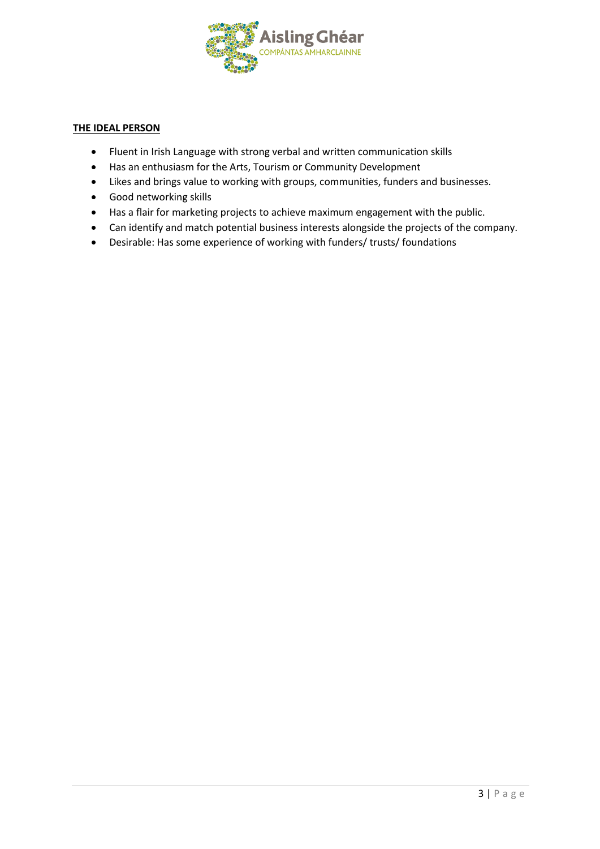

#### **THE IDEAL PERSON**

- Fluent in Irish Language with strong verbal and written communication skills
- Has an enthusiasm for the Arts, Tourism or Community Development
- Likes and brings value to working with groups, communities, funders and businesses.
- Good networking skills
- Has a flair for marketing projects to achieve maximum engagement with the public.
- Can identify and match potential business interests alongside the projects of the company.
- Desirable: Has some experience of working with funders/ trusts/ foundations